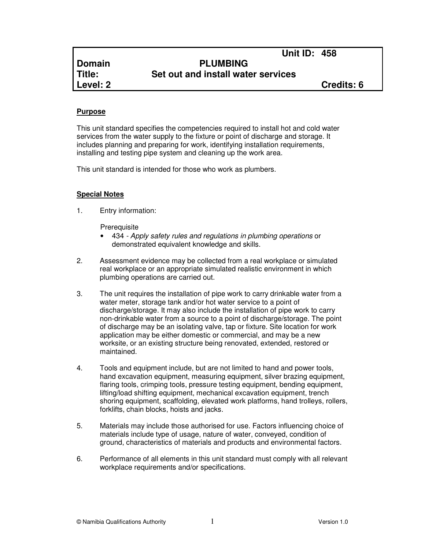## **Domain PLUMBING Title: Set out and install water services**

**Level: 2 Credits: 6**

#### **Purpose**

This unit standard specifies the competencies required to install hot and cold water services from the water supply to the fixture or point of discharge and storage. It includes planning and preparing for work, identifying installation requirements, installing and testing pipe system and cleaning up the work area.

This unit standard is intended for those who work as plumbers.

## **Special Notes**

1. Entry information:

**Prerequisite** 

- 434 Apply safety rules and regulations in plumbing operations or demonstrated equivalent knowledge and skills.
- 2. Assessment evidence may be collected from a real workplace or simulated real workplace or an appropriate simulated realistic environment in which plumbing operations are carried out.
- 3. The unit requires the installation of pipe work to carry drinkable water from a water meter, storage tank and/or hot water service to a point of discharge/storage. It may also include the installation of pipe work to carry non-drinkable water from a source to a point of discharge/storage. The point of discharge may be an isolating valve, tap or fixture. Site location for work application may be either domestic or commercial, and may be a new worksite, or an existing structure being renovated, extended, restored or maintained.
- 4. Tools and equipment include, but are not limited to hand and power tools, hand excavation equipment, measuring equipment, silver brazing equipment, flaring tools, crimping tools, pressure testing equipment, bending equipment, lifting/load shifting equipment, mechanical excavation equipment, trench shoring equipment, scaffolding, elevated work platforms, hand trolleys, rollers, forklifts, chain blocks, hoists and jacks.
- 5. Materials may include those authorised for use. Factors influencing choice of materials include type of usage, nature of water, conveyed, condition of ground, characteristics of materials and products and environmental factors.
- 6. Performance of all elements in this unit standard must comply with all relevant workplace requirements and/or specifications.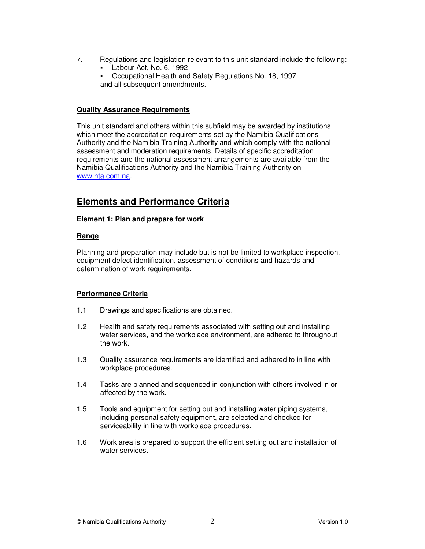- 7. Regulations and legislation relevant to this unit standard include the following:
	- Labour Act, No. 6, 1992
	- Occupational Health and Safety Regulations No. 18, 1997 and all subsequent amendments.

### **Quality Assurance Requirements**

This unit standard and others within this subfield may be awarded by institutions which meet the accreditation requirements set by the Namibia Qualifications Authority and the Namibia Training Authority and which comply with the national assessment and moderation requirements. Details of specific accreditation requirements and the national assessment arrangements are available from the Namibia Qualifications Authority and the Namibia Training Authority on www.nta.com.na.

## **Elements and Performance Criteria**

## **Element 1: Plan and prepare for work**

## **Range**

Planning and preparation may include but is not be limited to workplace inspection, equipment defect identification, assessment of conditions and hazards and determination of work requirements.

## **Performance Criteria**

- 1.1 Drawings and specifications are obtained.
- 1.2 Health and safety requirements associated with setting out and installing water services, and the workplace environment, are adhered to throughout the work.
- 1.3 Quality assurance requirements are identified and adhered to in line with workplace procedures.
- 1.4 Tasks are planned and sequenced in conjunction with others involved in or affected by the work.
- 1.5 Tools and equipment for setting out and installing water piping systems, including personal safety equipment, are selected and checked for serviceability in line with workplace procedures.
- 1.6 Work area is prepared to support the efficient setting out and installation of water services.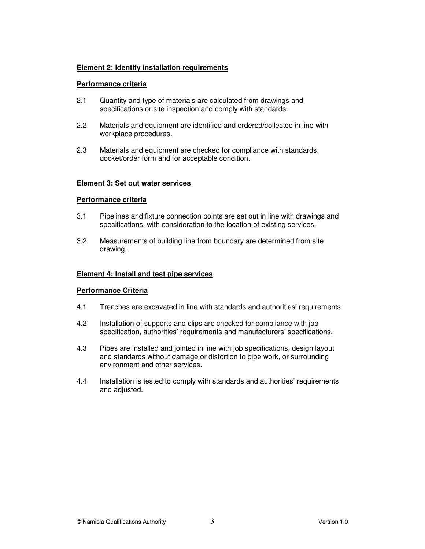#### **Element 2: Identify installation requirements**

#### **Performance criteria**

- 2.1 Quantity and type of materials are calculated from drawings and specifications or site inspection and comply with standards.
- 2.2 Materials and equipment are identified and ordered/collected in line with workplace procedures.
- 2.3 Materials and equipment are checked for compliance with standards, docket/order form and for acceptable condition.

#### **Element 3: Set out water services**

#### **Performance criteria**

- 3.1 Pipelines and fixture connection points are set out in line with drawings and specifications, with consideration to the location of existing services.
- 3.2 Measurements of building line from boundary are determined from site drawing.

#### **Element 4: Install and test pipe services**

#### **Performance Criteria**

- 4.1 Trenches are excavated in line with standards and authorities' requirements.
- 4.2 Installation of supports and clips are checked for compliance with job specification, authorities' requirements and manufacturers' specifications.
- 4.3 Pipes are installed and jointed in line with job specifications, design layout and standards without damage or distortion to pipe work, or surrounding environment and other services.
- 4.4 Installation is tested to comply with standards and authorities' requirements and adjusted.